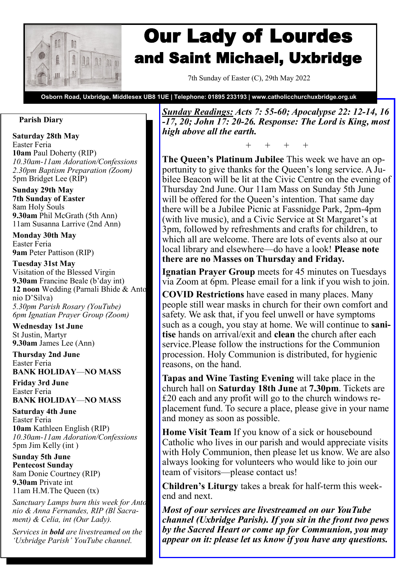

# Our Lady of Lourdes and Saint Michael, Uxbridge

7th Sunday of Easter (C), 29th May 2022

**Osborn Road, Uxbridge, Middlesex UB8 1UE | Telephone: 01895 233193 | www.catholicchurchuxbridge.org.uk**

#### **Parish Diary**

**Saturday 28th May**  Easter Feria **10am** Paul Doherty (RIP) *10.30am-11am Adoration/Confessions 2.30pm Baptism Preparation (Zoom)* 5pm Bridget Lee (RIP)

**Sunday 29th May 7th Sunday of Easter** 8am Holy Souls **9.30am** Phil McGrath (5th Ann) 11am Susanna Larrive (2nd Ann)

**Monday 30th May**  Easter Feria **9am** Peter Pattison (RIP)

**Tuesday 31st May**  Visitation of the Blessed Virgin **9.30am** Francine Beale (b'day int) **12 noon** Wedding (Parnali Bhide & Antonio D'Silva) *5.30pm Parish Rosary (YouTube) 6pm Ignatian Prayer Group (Zoom)*

**Wednesday 1st June**  St Justin, Martyr **9.30am** James Lee (Ann)

**Thursday 2nd June** Easter Feria **BANK HOLIDAY**—**NO MASS**

**Friday 3rd June**  Easter Feria **BANK HOLIDAY**—**NO MASS**

**Saturday 4th June**  Easter Feria **10am** Kathleen English (RIP) *10.30am-11am Adoration/Confessions* 5pm Jim Kelly (int )

**Sunday 5th June Pentecost Sunday** 8am Donie Courtney (RIP) **9.30am** Private int 11am H.M.The Queen (tx)

*Sanctuary Lamps burn this week for Antonio & Anna Fernandes, RIP (Bl Sacrament) & Celia, int (Our Lady).*

*Services in bold are livestreamed on the 'Uxbridge Parish' YouTube channel.*

*Sunday Readings: Acts 7: 55-60; Apocalypse 22: 12-14, 16 -17, 20; John 17: 20-26. Response: The Lord is King, most high above all the earth.*

+ + + +

**The Queen's Platinum Jubilee** This week we have an opportunity to give thanks for the Queen's long service. A Jubilee Beacon will be lit at the Civic Centre on the evening of Thursday 2nd June. Our 11am Mass on Sunday 5th June will be offered for the Queen's intention. That same day there will be a Jubilee Picnic at Fassnidge Park, 2pm-4pm (with live music), and a Civic Service at St Margaret's at 3pm, followed by refreshments and crafts for children, to which all are welcome. There are lots of events also at our local library and elsewhere—do have a look! **Please note there are no Masses on Thursday and Friday.**

**Ignatian Prayer Group** meets for 45 minutes on Tuesdays via Zoom at 6pm. Please email for a link if you wish to join.

**COVID Restrictions** have eased in many places. Many people still wear masks in church for their own comfort and safety. We ask that, if you feel unwell or have symptoms such as a cough, you stay at home. We will continue to **sanitise** hands on arrival/exit and **clean** the church after each service.Please follow the instructions for the Communion procession. Holy Communion is distributed, for hygienic reasons, on the hand.

**Tapas and Wine Tasting Evening** will take place in the church hall on **Saturday 18th June** at **7.30pm**. Tickets are £20 each and any profit will go to the church windows replacement fund. To secure a place, please give in your name and money as soon as possible.

**Home Visit Team** If you know of a sick or housebound Catholic who lives in our parish and would appreciate visits with Holy Communion, then please let us know. We are also always looking for volunteers who would like to join our team of visitors—please contact us!

**Children's Liturgy** takes a break for half-term this weekend and next.

*Most of our services are livestreamed on our YouTube channel (Uxbridge Parish). If you sit in the front two pews by the Sacred Heart or come up for Communion, you may appear on it: please let us know if you have any questions.*